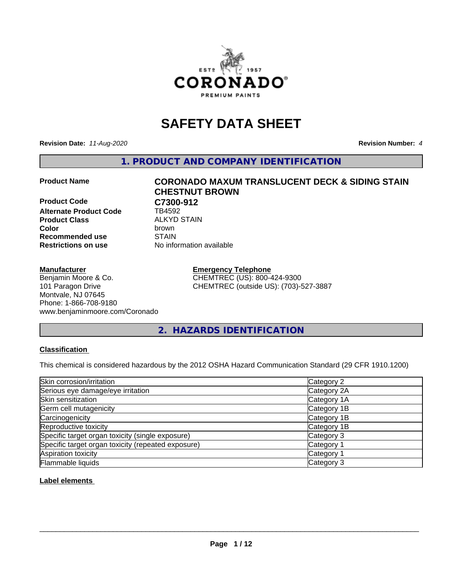

# **SAFETY DATA SHEET**

**Revision Date:** *11-Aug-2020* **Revision Number:** *4*

**1. PRODUCT AND COMPANY IDENTIFICATION**

#### **Product Name CORONADO MAXUM TRANSLUCENT DECK & SIDING STAIN**

**Product Code C7300-912**<br>Alternate Product Code **CD** TB4592 **Alternate Product Code Product Class** ALKYD STAIN<br> **Color** brown **Recommended use STAIN Restrictions on use** No information available

# **CHESTNUT BROWN Color** brown

#### **Manufacturer**

Benjamin Moore & Co. 101 Paragon Drive Montvale, NJ 07645 Phone: 1-866-708-9180 www.benjaminmoore.com/Coronado

# **Emergency Telephone** CHEMTREC (US): 800-424-9300

CHEMTREC (outside US): (703)-527-3887

# **2. HAZARDS IDENTIFICATION**

# **Classification**

This chemical is considered hazardous by the 2012 OSHA Hazard Communication Standard (29 CFR 1910.1200)

| Skin corrosion/irritation                          | Category 2            |
|----------------------------------------------------|-----------------------|
| Serious eye damage/eye irritation                  | Category 2A           |
| Skin sensitization                                 | Category 1A           |
| Germ cell mutagenicity                             | Category 1B           |
| Carcinogenicity                                    | Category 1B           |
| Reproductive toxicity                              | Category 1B           |
| Specific target organ toxicity (single exposure)   | Category 3            |
| Specific target organ toxicity (repeated exposure) | Category <sup>2</sup> |
| Aspiration toxicity                                | Category <sup>2</sup> |
| Flammable liquids                                  | Category 3            |

**Label elements**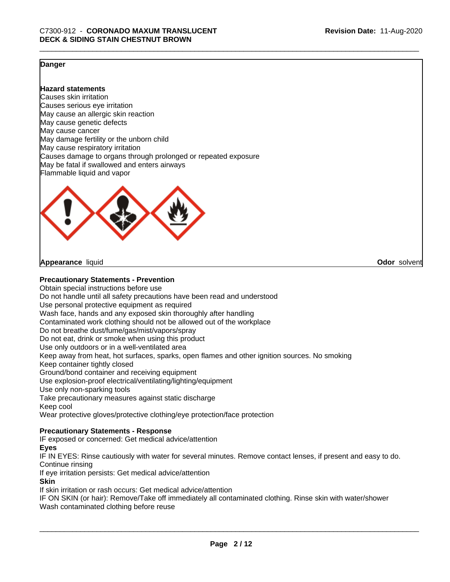**Odor** solvent

# **Danger**

# **Hazard statements**

Causes skin irritation Causes serious eye irritation May cause an allergic skin reaction May cause genetic defects May cause cancer May damage fertility or the unborn child May cause respiratory irritation Causes damage to organs through prolonged or repeated exposure May be fatal if swallowed and enters airways Flammable liquid and vapor



**Appearance** liquid

# **Precautionary Statements - Prevention**

Obtain special instructions before use Do not handle until all safety precautions have been read and understood Use personal protective equipment as required Wash face, hands and any exposed skin thoroughly after handling Contaminated work clothing should not be allowed out of the workplace Do not breathe dust/fume/gas/mist/vapors/spray Do not eat, drink or smoke when using this product Use only outdoors or in a well-ventilated area Keep away from heat, hot surfaces, sparks, open flames and other ignition sources. No smoking Keep container tightly closed Ground/bond container and receiving equipment Use explosion-proof electrical/ventilating/lighting/equipment Use only non-sparking tools Take precautionary measures against static discharge Keep cool Wear protective gloves/protective clothing/eye protection/face protection

# **Precautionary Statements - Response**

IF exposed or concerned: Get medical advice/attention

#### **Eyes**

IF IN EYES: Rinse cautiously with water for several minutes. Remove contact lenses, if present and easy to do. Continue rinsing

If eye irritation persists: Get medical advice/attention

# **Skin**

If skin irritation or rash occurs: Get medical advice/attention

IF ON SKIN (or hair): Remove/Take off immediately all contaminated clothing. Rinse skin with water/shower Wash contaminated clothing before reuse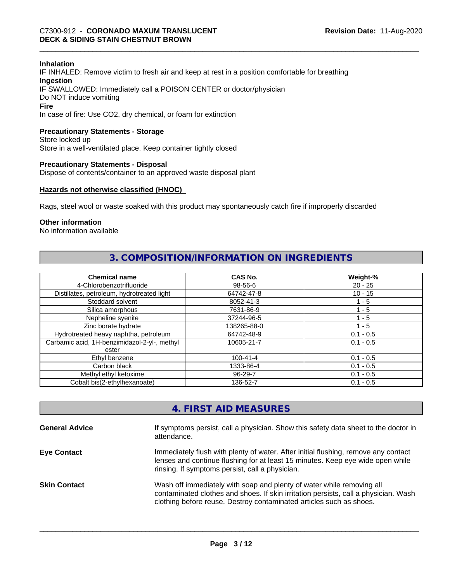#### **Inhalation**

IF INHALED: Remove victim to fresh air and keep at rest in a position comfortable for breathing **Ingestion** IF SWALLOWED: Immediately call a POISON CENTER or doctor/physician Do NOT induce vomiting **Fire**

In case of fire: Use CO2, dry chemical, or foam for extinction

# **Precautionary Statements - Storage**

Store locked up Store in a well-ventilated place. Keep container tightly closed

#### **Precautionary Statements - Disposal**

Dispose of contents/container to an approved waste disposal plant

# **Hazards not otherwise classified (HNOC)**

Rags, steel wool or waste soaked with this product may spontaneously catch fire if improperly discarded

# **Other information**

No information available

# **3. COMPOSITION/INFORMATION ON INGREDIENTS**

| <b>Chemical name</b>                                  | CAS No.        | Weight-%    |
|-------------------------------------------------------|----------------|-------------|
| 4-Chlorobenzotrifluoride                              | 98-56-6        | $20 - 25$   |
| Distillates, petroleum, hydrotreated light            | 64742-47-8     | $10 - 15$   |
| Stoddard solvent                                      | 8052-41-3      | $1 - 5$     |
| Silica amorphous                                      | 7631-86-9      | 1 - 5       |
| Nepheline syenite                                     | 37244-96-5     | 1 - 5       |
| Zinc borate hydrate                                   | 138265-88-0    | 1 - 5       |
| Hydrotreated heavy naphtha, petroleum                 | 64742-48-9     | $0.1 - 0.5$ |
| Carbamic acid, 1H-benzimidazol-2-yl-, methyl<br>ester | 10605-21-7     | $0.1 - 0.5$ |
| Ethyl benzene                                         | $100 - 41 - 4$ | $0.1 - 0.5$ |
| Carbon black                                          | 1333-86-4      | $0.1 - 0.5$ |
| Methyl ethyl ketoxime                                 | 96-29-7        | $0.1 - 0.5$ |
| Cobalt bis(2-ethylhexanoate)                          | 136-52-7       | $0.1 - 0.5$ |

# **4. FIRST AID MEASURES**

| <b>General Advice</b> | If symptoms persist, call a physician. Show this safety data sheet to the doctor in<br>attendance.                                                                                                                                  |
|-----------------------|-------------------------------------------------------------------------------------------------------------------------------------------------------------------------------------------------------------------------------------|
| <b>Eye Contact</b>    | Immediately flush with plenty of water. After initial flushing, remove any contact<br>lenses and continue flushing for at least 15 minutes. Keep eye wide open while<br>rinsing. If symptoms persist, call a physician.             |
| <b>Skin Contact</b>   | Wash off immediately with soap and plenty of water while removing all<br>contaminated clothes and shoes. If skin irritation persists, call a physician. Wash<br>clothing before reuse. Destroy contaminated articles such as shoes. |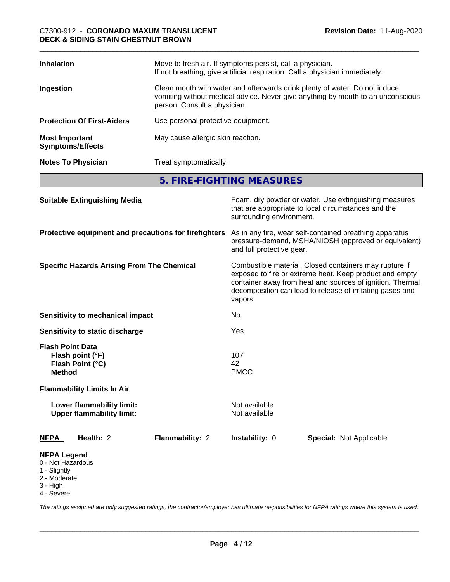| <b>Inhalation</b>                                | Move to fresh air. If symptoms persist, call a physician.<br>If not breathing, give artificial respiration. Call a physician immediately.                                                     |
|--------------------------------------------------|-----------------------------------------------------------------------------------------------------------------------------------------------------------------------------------------------|
| Ingestion                                        | Clean mouth with water and afterwards drink plenty of water. Do not induce<br>vomiting without medical advice. Never give anything by mouth to an unconscious<br>person. Consult a physician. |
| <b>Protection Of First-Aiders</b>                | Use personal protective equipment.                                                                                                                                                            |
| <b>Most Important</b><br><b>Symptoms/Effects</b> | May cause allergic skin reaction.                                                                                                                                                             |
| <b>Notes To Physician</b>                        | Treat symptomatically.                                                                                                                                                                        |
|                                                  |                                                                                                                                                                                               |

**5. FIRE-FIGHTING MEASURES**

| <b>Suitable Extinguishing Media</b>                                                                        |                 | surrounding environment.                                                                                                                                                                                                                                                                                                                                                                               | Foam, dry powder or water. Use extinguishing measures<br>that are appropriate to local circumstances and the |  |
|------------------------------------------------------------------------------------------------------------|-----------------|--------------------------------------------------------------------------------------------------------------------------------------------------------------------------------------------------------------------------------------------------------------------------------------------------------------------------------------------------------------------------------------------------------|--------------------------------------------------------------------------------------------------------------|--|
| Protective equipment and precautions for firefighters<br><b>Specific Hazards Arising From The Chemical</b> |                 | As in any fire, wear self-contained breathing apparatus<br>pressure-demand, MSHA/NIOSH (approved or equivalent)<br>and full protective gear.<br>Combustible material. Closed containers may rupture if<br>exposed to fire or extreme heat. Keep product and empty<br>container away from heat and sources of ignition. Thermal<br>decomposition can lead to release of irritating gases and<br>vapors. |                                                                                                              |  |
|                                                                                                            |                 |                                                                                                                                                                                                                                                                                                                                                                                                        |                                                                                                              |  |
| Yes                                                                                                        |                 |                                                                                                                                                                                                                                                                                                                                                                                                        |                                                                                                              |  |
| <b>Flash Point Data</b><br>Flash point (°F)<br>Flash Point (°C)<br><b>Method</b>                           |                 | 107<br>42<br><b>PMCC</b>                                                                                                                                                                                                                                                                                                                                                                               |                                                                                                              |  |
| <b>Flammability Limits In Air</b>                                                                          |                 |                                                                                                                                                                                                                                                                                                                                                                                                        |                                                                                                              |  |
| Lower flammability limit:<br><b>Upper flammability limit:</b>                                              |                 | Not available<br>Not available                                                                                                                                                                                                                                                                                                                                                                         |                                                                                                              |  |
| <b>NFPA</b><br>Health: 2                                                                                   | Flammability: 2 | Instability: 0                                                                                                                                                                                                                                                                                                                                                                                         | <b>Special: Not Applicable</b>                                                                               |  |
| <b>NFPA Legend</b><br>0 - Not Hazardous<br>1 - Slightly<br>2 - Moderate<br>3 - High                        |                 |                                                                                                                                                                                                                                                                                                                                                                                                        |                                                                                                              |  |

4 - Severe

*The ratings assigned are only suggested ratings, the contractor/employer has ultimate responsibilities for NFPA ratings where this system is used.*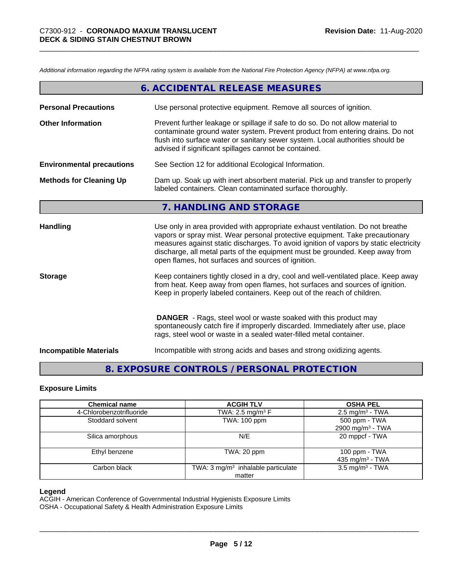*Additional information regarding the NFPA rating system is available from the National Fire Protection Agency (NFPA) at www.nfpa.org.*

|                                  | 6. ACCIDENTAL RELEASE MEASURES                                                                                                                                                                                                                                                                                                                                                                |
|----------------------------------|-----------------------------------------------------------------------------------------------------------------------------------------------------------------------------------------------------------------------------------------------------------------------------------------------------------------------------------------------------------------------------------------------|
| <b>Personal Precautions</b>      | Use personal protective equipment. Remove all sources of ignition.                                                                                                                                                                                                                                                                                                                            |
| <b>Other Information</b>         | Prevent further leakage or spillage if safe to do so. Do not allow material to<br>contaminate ground water system. Prevent product from entering drains. Do not<br>flush into surface water or sanitary sewer system. Local authorities should be<br>advised if significant spillages cannot be contained.                                                                                    |
| <b>Environmental precautions</b> | See Section 12 for additional Ecological Information.                                                                                                                                                                                                                                                                                                                                         |
| <b>Methods for Cleaning Up</b>   | Dam up. Soak up with inert absorbent material. Pick up and transfer to properly<br>labeled containers. Clean contaminated surface thoroughly.                                                                                                                                                                                                                                                 |
|                                  | 7. HANDLING AND STORAGE                                                                                                                                                                                                                                                                                                                                                                       |
| Handling                         | Use only in area provided with appropriate exhaust ventilation. Do not breathe<br>vapors or spray mist. Wear personal protective equipment. Take precautionary<br>measures against static discharges. To avoid ignition of vapors by static electricity<br>discharge, all metal parts of the equipment must be grounded. Keep away from<br>open flames, hot surfaces and sources of ignition. |
| <b>Storage</b>                   | Keep containers tightly closed in a dry, cool and well-ventilated place. Keep away<br>from heat. Keep away from open flames, hot surfaces and sources of ignition.<br>Keep in properly labeled containers. Keep out of the reach of children.                                                                                                                                                 |
|                                  | <b>DANGER</b> - Rags, steel wool or waste soaked with this product may<br>spontaneously catch fire if improperly discarded. Immediately after use, place<br>rags, steel wool or waste in a sealed water-filled metal container.                                                                                                                                                               |
| <b>Incompatible Materials</b>    | Incompatible with strong acids and bases and strong oxidizing agents.                                                                                                                                                                                                                                                                                                                         |

# **8. EXPOSURE CONTROLS / PERSONAL PROTECTION**

# **Exposure Limits**

| <b>Chemical name</b>     | <b>ACGIH TLV</b>                              | <b>OSHA PEL</b>              |
|--------------------------|-----------------------------------------------|------------------------------|
| 4-Chlorobenzotrifluoride | TWA: 2.5 mg/m <sup>3</sup> F                  | $2.5 \text{ mg/m}^3$ - TWA   |
| Stoddard solvent         | TWA: 100 ppm                                  | 500 ppm - TWA                |
|                          |                                               | 2900 mg/m <sup>3</sup> - TWA |
| Silica amorphous         | N/E                                           | 20 mppcf - TWA               |
| Ethyl benzene            | TWA: 20 ppm                                   | 100 ppm - TWA                |
|                          |                                               | 435 mg/m <sup>3</sup> - TWA  |
| Carbon black             | TWA: $3 \text{ mg/m}^3$ inhalable particulate | $3.5 \text{ mg/m}^3$ - TWA   |
|                          | matter                                        |                              |

# **Legend**

ACGIH - American Conference of Governmental Industrial Hygienists Exposure Limits

OSHA - Occupational Safety & Health Administration Exposure Limits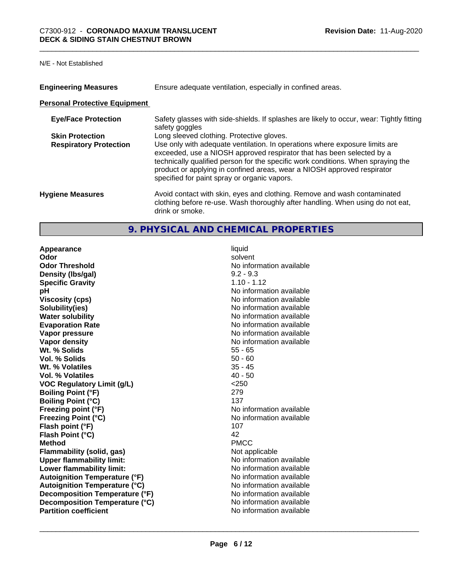#### N/E - Not Established

| <b>Engineering Measures</b>          | Ensure adequate ventilation, especially in confined areas.                                                                                                                                                                                                                                                                                                          |  |  |
|--------------------------------------|---------------------------------------------------------------------------------------------------------------------------------------------------------------------------------------------------------------------------------------------------------------------------------------------------------------------------------------------------------------------|--|--|
| <b>Personal Protective Equipment</b> |                                                                                                                                                                                                                                                                                                                                                                     |  |  |
| <b>Eye/Face Protection</b>           | Safety glasses with side-shields. If splashes are likely to occur, wear: Tightly fitting<br>safety goggles                                                                                                                                                                                                                                                          |  |  |
| <b>Skin Protection</b>               | Long sleeved clothing. Protective gloves.                                                                                                                                                                                                                                                                                                                           |  |  |
| <b>Respiratory Protection</b>        | Use only with adequate ventilation. In operations where exposure limits are<br>exceeded, use a NIOSH approved respirator that has been selected by a<br>technically qualified person for the specific work conditions. When spraying the<br>product or applying in confined areas, wear a NIOSH approved respirator<br>specified for paint spray or organic vapors. |  |  |
| <b>Hygiene Measures</b>              | Avoid contact with skin, eyes and clothing. Remove and wash contaminated<br>clothing before re-use. Wash thoroughly after handling. When using do not eat,<br>drink or smoke.                                                                                                                                                                                       |  |  |

# **9. PHYSICAL AND CHEMICAL PROPERTIES**

**Appearance** liquid **Odor** solvent **Odor Threshold No information available** No information available **Density (lbs/gal)** 9.2 - 9.3 **Specific Gravity** 1.10 - 1.12<br> **pH** No informa **Viscosity (cps)** No information available **Solubility(ies)** No information available **Water solubility** No information available **Evaporation Rate No information available No information available Vapor pressure** No information available **No information** available **Vapor density No information available No information available Wt. % Solids** 55 - 65 **Vol. % Solids** 50 - 60 **Wt. % Volatiles** 35 - 45 **Vol. % Volatiles VOC Regulatory Limit (g/L)**  $\qquad \qquad$  <250<br> **Boiling Point (°F)** 279 **Boiling Point (°F) Boiling Point (°C)** 137 **Freezing point (°F)** No information available **Freezing Point (°C)** No information available **Flash point (°F)** 107 **Flash Point (°C)** 42 **Method** PMCC **Flammability (solid, gas)** Not applicable **Upper flammability limit:**<br> **I** ower flammability limit: No information available **Lower flammability limit:**<br> **Autoignition Temperature (°F)** No information available **Autoignition Temperature (°F) Autoignition Temperature (°C)**<br> **Decomposition Temperature (°F)** No information available **Decomposition Temperature (°F) Decomposition Temperature (°C)** No information available **Partition coefficient** No information available

**No information available**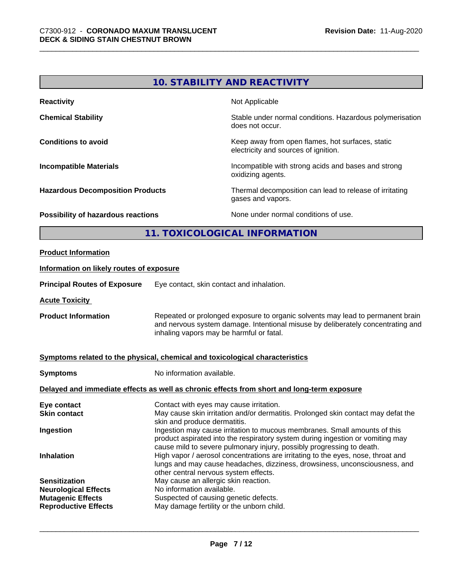# **10. STABILITY AND REACTIVITY**

| <b>Reactivity</b>                       | Not Applicable                                                                           |  |
|-----------------------------------------|------------------------------------------------------------------------------------------|--|
| <b>Chemical Stability</b>               | Stable under normal conditions. Hazardous polymerisation<br>does not occur.              |  |
| <b>Conditions to avoid</b>              | Keep away from open flames, hot surfaces, static<br>electricity and sources of ignition. |  |
| <b>Incompatible Materials</b>           | Incompatible with strong acids and bases and strong<br>oxidizing agents.                 |  |
| <b>Hazardous Decomposition Products</b> | Thermal decomposition can lead to release of irritating<br>gases and vapors.             |  |
| Possibility of hazardous reactions      | None under normal conditions of use.                                                     |  |
| 11. TOXICOLOGICAL INFORMATION           |                                                                                          |  |
|                                         |                                                                                          |  |

# **Product Information**

# **Information on likely routes of exposure**

**Principal Routes of Exposure** Eye contact, skin contact and inhalation.

**Acute Toxicity** 

**Product Information** Repeated or prolonged exposure to organic solvents may lead to permanent brain and nervous system damage. Intentional misuse by deliberately concentrating and inhaling vapors may be harmful or fatal.

# **Symptoms related to the physical, chemical and toxicological characteristics**

**Symptoms** No information available.

# **Delayed and immediate effects as well as chronic effects from short and long-term exposure**

| Eye contact                 | Contact with eyes may cause irritation.                                                                                                                                                                                              |
|-----------------------------|--------------------------------------------------------------------------------------------------------------------------------------------------------------------------------------------------------------------------------------|
| <b>Skin contact</b>         | May cause skin irritation and/or dermatitis. Prolonged skin contact may defat the<br>skin and produce dermatitis.                                                                                                                    |
| Ingestion                   | Ingestion may cause irritation to mucous membranes. Small amounts of this<br>product aspirated into the respiratory system during ingestion or vomiting may<br>cause mild to severe pulmonary injury, possibly progressing to death. |
| <b>Inhalation</b>           | High vapor / aerosol concentrations are irritating to the eyes, nose, throat and<br>lungs and may cause headaches, dizziness, drowsiness, unconsciousness, and<br>other central nervous system effects.                              |
| <b>Sensitization</b>        | May cause an allergic skin reaction.                                                                                                                                                                                                 |
| <b>Neurological Effects</b> | No information available.                                                                                                                                                                                                            |
| <b>Mutagenic Effects</b>    | Suspected of causing genetic defects.                                                                                                                                                                                                |
| <b>Reproductive Effects</b> | May damage fertility or the unborn child.                                                                                                                                                                                            |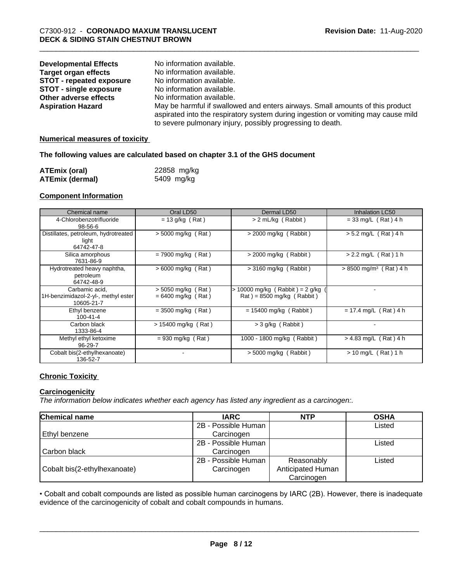| <b>Developmental Effects</b><br><b>Target organ effects</b><br><b>STOT - repeated exposure</b><br><b>STOT - single exposure</b><br>Other adverse effects<br><b>Aspiration Hazard</b> | No information available.<br>No information available.<br>No information available.<br>No information available.<br>No information available.<br>May be harmful if swallowed and enters airways. Small amounts of this product |
|--------------------------------------------------------------------------------------------------------------------------------------------------------------------------------------|--------------------------------------------------------------------------------------------------------------------------------------------------------------------------------------------------------------------------------|
|                                                                                                                                                                                      |                                                                                                                                                                                                                                |
|                                                                                                                                                                                      | aspirated into the respiratory system during ingestion or vomiting may cause mild<br>to severe pulmonary injury, possibly progressing to death.                                                                                |

# **Numerical measures of toxicity**

# **The following values are calculated based on chapter 3.1 of the GHS document**

| <b>ATEmix (oral)</b> | 22858 mg/kg |
|----------------------|-------------|
| ATEmix (dermal)      | 5409 mg/kg  |

# **Component Information**

| Chemical name                                                       | Oral LD50                                    | Dermal LD50                                                                          | <b>Inhalation LC50</b>               |
|---------------------------------------------------------------------|----------------------------------------------|--------------------------------------------------------------------------------------|--------------------------------------|
| 4-Chlorobenzotrifluoride<br>$98 - 56 - 6$                           | $= 13$ g/kg (Rat)                            | > 2 mL/kg (Rabbit)                                                                   | $= 33$ mg/L (Rat) 4 h                |
| Distillates, petroleum, hydrotreated<br>light<br>64742-47-8         | $>$ 5000 mg/kg (Rat)                         | $>$ 2000 mg/kg (Rabbit)                                                              | $> 5.2$ mg/L (Rat) 4 h               |
| Silica amorphous<br>7631-86-9                                       | $= 7900$ mg/kg (Rat)                         | $> 2000$ mg/kg (<br>(Rabbit)                                                         | $> 2.2$ mg/L (Rat) 1 h               |
| Hydrotreated heavy naphtha,<br>petroleum<br>64742-48-9              | $> 6000$ mg/kg (Rat)                         | $>$ 3160 mg/kg (Rabbit)                                                              | $> 8500$ mg/m <sup>3</sup> (Rat) 4 h |
| Carbamic acid.<br>1H-benzimidazol-2-yl-, methyl ester<br>10605-21-7 | $>$ 5050 mg/kg (Rat)<br>$= 6400$ mg/kg (Rat) | $> 10000$ mg/kg (Rabbit) = 2 g/kg<br>$\text{Rat}$ ) = 8500 mg/kg ( $\text{Rabbit}$ ) |                                      |
| Ethyl benzene<br>$100 - 41 - 4$                                     | $= 3500$ mg/kg (Rat)                         | $= 15400$ mg/kg (Rabbit)                                                             | $= 17.4$ mg/L (Rat) 4 h              |
| Carbon black<br>1333-86-4                                           | $> 15400$ mg/kg (Rat)                        | $>$ 3 g/kg (Rabbit)                                                                  | ۰                                    |
| Methyl ethyl ketoxime<br>96-29-7                                    | $= 930$ mg/kg (Rat)                          | 1000 - 1800 mg/kg (Rabbit)                                                           | $> 4.83$ mg/L (Rat) 4 h              |
| Cobalt bis(2-ethylhexanoate)<br>136-52-7                            |                                              | $> 5000$ mg/kg $\sqrt{ }$<br>(Rabbit)                                                | $> 10$ mg/L (Rat) 1 h                |

# **Chronic Toxicity**

# **Carcinogenicity**

*The information below indicateswhether each agency has listed any ingredient as a carcinogen:.*

| <b>Chemical name</b>         | <b>IARC</b>         | <b>NTP</b>        | <b>OSHA</b> |
|------------------------------|---------------------|-------------------|-------------|
|                              | 2B - Possible Human |                   | Listed      |
| Ethyl benzene                | Carcinogen          |                   |             |
|                              | 2B - Possible Human |                   | Listed      |
| Carbon black                 | Carcinogen          |                   |             |
|                              | 2B - Possible Human | Reasonably        | Listed      |
| Cobalt bis(2-ethylhexanoate) | Carcinogen          | Anticipated Human |             |
|                              |                     | Carcinogen        |             |

• Cobalt and cobalt compounds are listed as possible human carcinogens by IARC (2B). However, there is inadequate evidence of the carcinogenicity of cobalt and cobalt compounds in humans.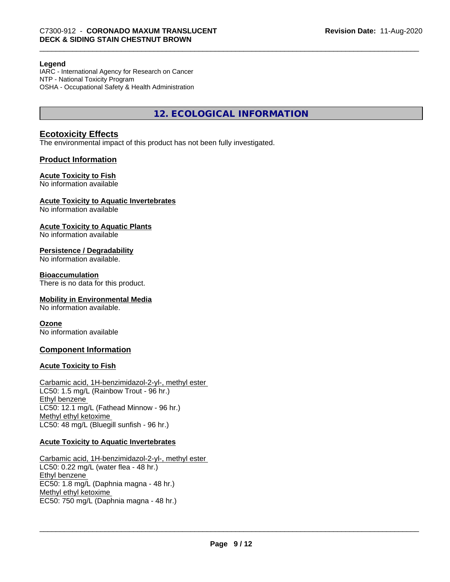#### **Legend**

IARC - International Agency for Research on Cancer NTP - National Toxicity Program OSHA - Occupational Safety & Health Administration

**12. ECOLOGICAL INFORMATION**

# **Ecotoxicity Effects**

The environmental impact of this product has not been fully investigated.

# **Product Information**

# **Acute Toxicity to Fish**

No information available

#### **Acute Toxicity to Aquatic Invertebrates**

No information available

# **Acute Toxicity to Aquatic Plants**

No information available

# **Persistence / Degradability**

No information available.

# **Bioaccumulation**

There is no data for this product.

# **Mobility in Environmental Media**

No information available.

# **Ozone**

No information available

# **Component Information**

# **Acute Toxicity to Fish**

Carbamic acid, 1H-benzimidazol-2-yl-, methyl ester LC50: 1.5 mg/L (Rainbow Trout - 96 hr.) Ethyl benzene LC50: 12.1 mg/L (Fathead Minnow - 96 hr.) Methyl ethyl ketoxime LC50: 48 mg/L (Bluegill sunfish - 96 hr.)

# **Acute Toxicity to Aquatic Invertebrates**

Carbamic acid, 1H-benzimidazol-2-yl-, methyl ester LC50: 0.22 mg/L (water flea - 48 hr.) Ethyl benzene EC50: 1.8 mg/L (Daphnia magna - 48 hr.) Methyl ethyl ketoxime EC50: 750 mg/L (Daphnia magna - 48 hr.)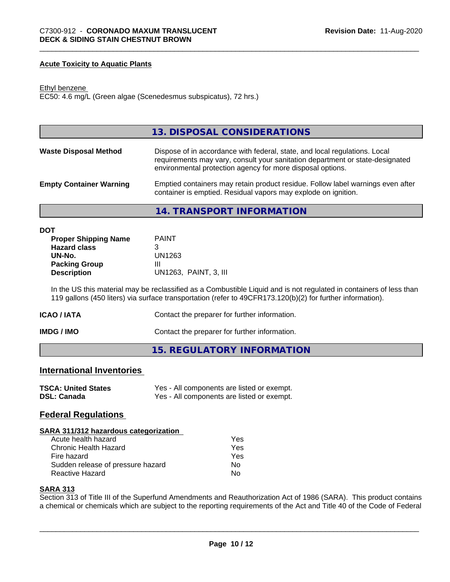# **Acute Toxicity to Aquatic Plants**

#### Ethyl benzene

EC50: 4.6 mg/L (Green algae (Scenedesmus subspicatus), 72 hrs.)

|                                | 13. DISPOSAL CONSIDERATIONS                                                                                                                                                                                               |
|--------------------------------|---------------------------------------------------------------------------------------------------------------------------------------------------------------------------------------------------------------------------|
| <b>Waste Disposal Method</b>   | Dispose of in accordance with federal, state, and local regulations. Local<br>requirements may vary, consult your sanitation department or state-designated<br>environmental protection agency for more disposal options. |
| <b>Empty Container Warning</b> | Emptied containers may retain product residue. Follow label warnings even after<br>container is emptied. Residual vapors may explode on ignition.                                                                         |
|                                | 14. TRANSPORT INFORMATION                                                                                                                                                                                                 |

| DOT                         |                       |
|-----------------------------|-----------------------|
| <b>Proper Shipping Name</b> | <b>PAINT</b>          |
| <b>Hazard class</b>         | 3                     |
| UN-No.                      | UN1263                |
| <b>Packing Group</b>        | Ш                     |
| <b>Description</b>          | UN1263, PAINT, 3, III |
|                             |                       |

In the US this material may be reclassified as a Combustible Liquid and is not regulated in containers of less than 119 gallons (450 liters) via surface transportation (refer to 49CFR173.120(b)(2) for further information).

| ICAO / IATA | Contact the preparer for further information. |
|-------------|-----------------------------------------------|
|-------------|-----------------------------------------------|

**IMDG / IMO** Contact the preparer for further information.

**15. REGULATORY INFORMATION**

# **International Inventories**

| <b>TSCA: United States</b> | Yes - All components are listed or exempt. |
|----------------------------|--------------------------------------------|
| <b>DSL: Canada</b>         | Yes - All components are listed or exempt. |

# **Federal Regulations**

# **SARA 311/312 hazardous categorization**

| Acute health hazard               | Yes |
|-----------------------------------|-----|
| Chronic Health Hazard             | Yes |
| Fire hazard                       | Yes |
| Sudden release of pressure hazard | N٥  |
| Reactive Hazard                   | N٥  |

# **SARA 313**

Section 313 of Title III of the Superfund Amendments and Reauthorization Act of 1986 (SARA). This product contains a chemical or chemicals which are subject to the reporting requirements of the Act and Title 40 of the Code of Federal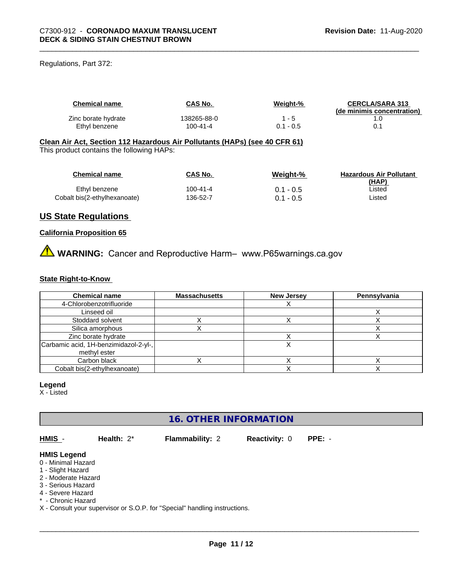Regulations, Part 372:

| <b>Chemical name</b> | <b>CAS No.</b> | Weight-%    | <b>CERCLA/SARA 313</b><br>(de minimis concentration) |
|----------------------|----------------|-------------|------------------------------------------------------|
| Zinc borate hydrate  | 138265-88-0    | $1 - 5$     |                                                      |
| Ethyl benzene        | $100 - 41 - 4$ | $0.1 - 0.5$ | 0.1                                                  |

# **Clean Air Act,Section 112 Hazardous Air Pollutants (HAPs) (see 40 CFR 61)**

This product contains the following HAPs:

| <b>Chemical name</b>         | CAS No.  | Weight-%    | <b>Hazardous Air Pollutant</b><br>(HAP) |
|------------------------------|----------|-------------|-----------------------------------------|
| Ethyl benzene                | 100-41-4 | $0.1 - 0.5$ | ∟isted                                  |
| Cobalt bis(2-ethylhexanoate) | 136-52-7 | 0.1 - 0.5   | ∟isted                                  |

# **US State Regulations**

# **California Proposition 65**

**A** WARNING: Cancer and Reproductive Harm– www.P65warnings.ca.gov

# **State Right-to-Know**

| <b>Chemical name</b>                  | <b>Massachusetts</b> | <b>New Jersey</b> | Pennsylvania |
|---------------------------------------|----------------------|-------------------|--------------|
| 4-Chlorobenzotrifluoride              |                      |                   |              |
| Linseed oil                           |                      |                   |              |
| Stoddard solvent                      |                      |                   |              |
| Silica amorphous                      |                      |                   |              |
| Zinc borate hydrate                   |                      |                   |              |
| Carbamic acid, 1H-benzimidazol-2-yl-, |                      |                   |              |
| methyl ester                          |                      |                   |              |
| Carbon black                          |                      |                   |              |
| Cobalt bis(2-ethylhexanoate)          |                      |                   |              |

# **Legend**

X - Listed

# **16. OTHER INFORMATION**

**HMIS** - **Health:** 2\* **Flammability:** 2 **Reactivity:** 0 **PPE:** -

 $\overline{\phantom{a}}$  ,  $\overline{\phantom{a}}$  ,  $\overline{\phantom{a}}$  ,  $\overline{\phantom{a}}$  ,  $\overline{\phantom{a}}$  ,  $\overline{\phantom{a}}$  ,  $\overline{\phantom{a}}$  ,  $\overline{\phantom{a}}$  ,  $\overline{\phantom{a}}$  ,  $\overline{\phantom{a}}$  ,  $\overline{\phantom{a}}$  ,  $\overline{\phantom{a}}$  ,  $\overline{\phantom{a}}$  ,  $\overline{\phantom{a}}$  ,  $\overline{\phantom{a}}$  ,  $\overline{\phantom{a}}$ 

# **HMIS Legend**

- 0 Minimal Hazard
- 1 Slight Hazard
- 2 Moderate Hazard
- 3 Serious Hazard
- 4 Severe Hazard \* - Chronic Hazard
- X Consult your supervisor or S.O.P. for "Special" handling instructions.